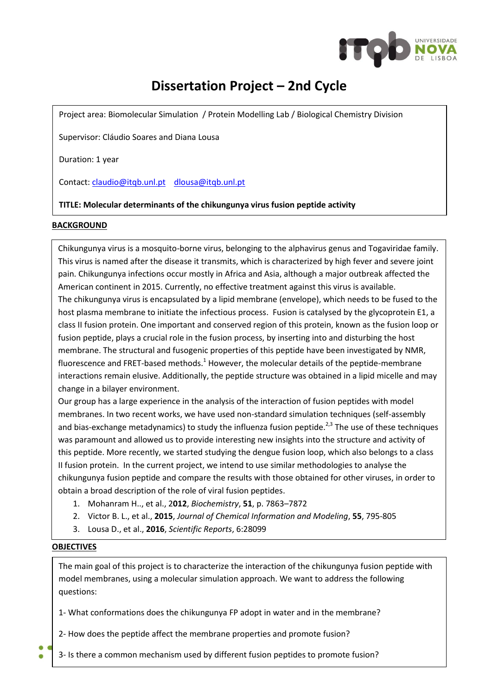

# **Dissertation Project – 2nd Cycle**

Project area: Biomolecular Simulation / Protein Modelling Lab / Biological Chemistry Division

Supervisor: Cláudio Soares and Diana Lousa

Duration: 1 year

Contact[: claudio@itqb.unl.pt](mailto:claudio@itqb.unl.pt) [dlousa@itqb.unl.pt](mailto:dlousa@itqb.unl.pt)

## **TITLE: Molecular determinants of the chikungunya virus fusion peptide activity**

#### **BACKGROUND**

Chikungunya virus is a mosquito-borne virus, belonging to the alphavirus genus and Togaviridae family. This virus is named after the disease it transmits, which is characterized by high fever and severe joint pain. Chikungunya infections occur mostly in Africa and Asia, although a major outbreak affected the American continent in 2015. Currently, no effective treatment against this virus is available. The chikungunya virus is encapsulated by a lipid membrane (envelope), which needs to be fused to the host plasma membrane to initiate the infectious process. Fusion is catalysed by the glycoprotein E1, a class II fusion protein. One important and conserved region of this protein, known as the fusion loop or fusion peptide, plays a crucial role in the fusion process, by inserting into and disturbing the host membrane. The structural and fusogenic properties of this peptide have been investigated by NMR, fluorescence and FRET-based methods.<sup>1</sup> However, the molecular details of the peptide-membrane interactions remain elusive. Additionally, the peptide structure was obtained in a lipid micelle and may change in a bilayer environment.

Our group has a large experience in the analysis of the interaction of fusion peptides with model membranes. In two recent works, we have used non-standard simulation techniques (self-assembly and bias-exchange metadynamics) to study the influenza fusion peptide.<sup>2,3</sup> The use of these techniques was paramount and allowed us to provide interesting new insights into the structure and activity of this peptide. More recently, we started studying the dengue fusion loop, which also belongs to a class II fusion protein. In the current project, we intend to use similar methodologies to analyse the chikungunya fusion peptide and compare the results with those obtained for other viruses, in order to obtain a broad description of the role of viral fusion peptides.

- 1. Mohanram H.., et al., 2**012**, *Biochemistry*, **51**, p. 7863–7872
- 2. Victor B. L., et al., **2015**, *Journal of Chemical Information and Modeling*, **55**, 795-805
- 3. Lousa D., et al., **2016**, *Scientific Reports*, 6:28099

### **OBJECTIVES**

The main goal of this project is to characterize the interaction of the chikungunya fusion peptide with model membranes, using a molecular simulation approach. We want to address the following questions:

1- What conformations does the chikungunya FP adopt in water and in the membrane?

2- How does the peptide affect the membrane properties and promote fusion?

3- Is there a common mechanism used by different fusion peptides to promote fusion?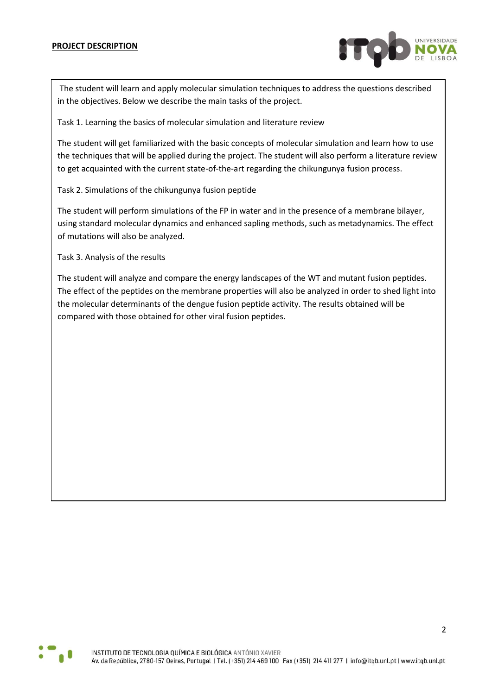

The student will learn and apply molecular simulation techniques to address the questions described in the objectives. Below we describe the main tasks of the project.

Task 1. Learning the basics of molecular simulation and literature review

The student will get familiarized with the basic concepts of molecular simulation and learn how to use the techniques that will be applied during the project. The student will also perform a literature review to get acquainted with the current state-of-the-art regarding the chikungunya fusion process.

Task 2. Simulations of the chikungunya fusion peptide

The student will perform simulations of the FP in water and in the presence of a membrane bilayer, using standard molecular dynamics and enhanced sapling methods, such as metadynamics. The effect of mutations will also be analyzed.

Task 3. Analysis of the results

The student will analyze and compare the energy landscapes of the WT and mutant fusion peptides. The effect of the peptides on the membrane properties will also be analyzed in order to shed light into the molecular determinants of the dengue fusion peptide activity. The results obtained will be compared with those obtained for other viral fusion peptides.